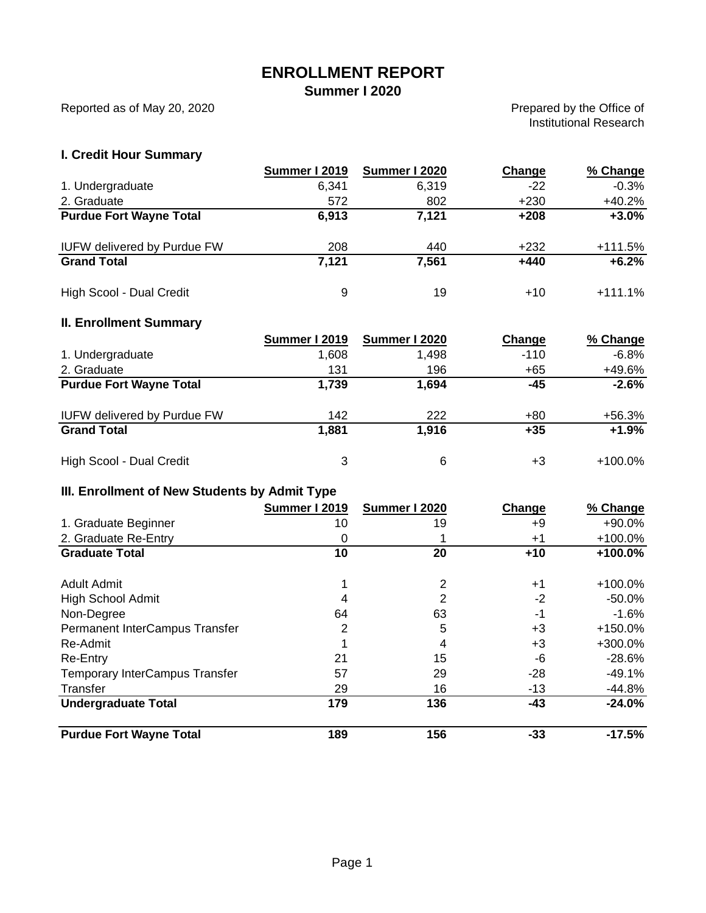# **ENROLLMENT REPORT**

**Summer I 2020**

Reported as of May 20, 2020

Prepared by the Office of Institutional Research

## **I. Credit Hour Summary**

|                                    | Summer I 2019 | Summer I 2020 | Change | % Change  |
|------------------------------------|---------------|---------------|--------|-----------|
| 1. Undergraduate                   | 6.341         | 6,319         | $-22$  | $-0.3%$   |
| 2. Graduate                        | 572           | 802           | $+230$ | $+40.2%$  |
| <b>Purdue Fort Wayne Total</b>     | 6,913         | 7,121         | $+208$ | $+3.0%$   |
| <b>IUFW delivered by Purdue FW</b> | 208           | 440           | $+232$ | $+111.5%$ |
| <b>Grand Total</b>                 | 7,121         | 7,561         | $+440$ | $+6.2%$   |
| High Scool - Dual Credit           | 9             | 19            | $+10$  | $+111.1%$ |

#### **II. Enrollment Summary**

|                                    | Summer I 2019 | Summer I 2020 | Change | % Change   |
|------------------------------------|---------------|---------------|--------|------------|
| 1. Undergraduate                   | 1,608         | 1,498         | $-110$ | $-6.8%$    |
| 2. Graduate                        | 131           | 196           | $+65$  | +49.6%     |
| <b>Purdue Fort Wayne Total</b>     | 1,739         | 1,694         | -45    | $-2.6%$    |
| <b>IUFW delivered by Purdue FW</b> | 142           | 222           | $+80$  | $+56.3%$   |
| <b>Grand Total</b>                 | 1,881         | 1,916         | $+35$  | $+1.9%$    |
| High Scool - Dual Credit           | 3             | 6             | +3     | $+100.0\%$ |

### **III. Enrollment of New Students by Admit Type**

|                                       | Summer I 2019 | Summer I 2020 | Change | % Change   |
|---------------------------------------|---------------|---------------|--------|------------|
| 1. Graduate Beginner                  | 10            | 19            | +9     | +90.0%     |
| 2. Graduate Re-Entry                  | 0             |               | $+1$   | $+100.0\%$ |
| <b>Graduate Total</b>                 | 10            | 20            | $+10$  | +100.0%    |
| <b>Adult Admit</b>                    |               | 2             | $+1$   | $+100.0\%$ |
| <b>High School Admit</b>              | 4             | 2             | $-2$   | $-50.0%$   |
| Non-Degree                            | 64            | 63            | -1     | $-1.6%$    |
| Permanent InterCampus Transfer        | 2             | 5             | $+3$   | $+150.0%$  |
| Re-Admit                              |               | 4             | +3     | +300.0%    |
| <b>Re-Entry</b>                       | 21            | 15            | -6     | $-28.6%$   |
| <b>Temporary InterCampus Transfer</b> | 57            | 29            | $-28$  | -49.1%     |
| Transfer                              | 29            | 16            | $-13$  | $-44.8%$   |
| <b>Undergraduate Total</b>            | 179           | 136           | $-43$  | $-24.0%$   |
| <b>Purdue Fort Wayne Total</b>        | 189           | 156           | $-33$  | $-17.5%$   |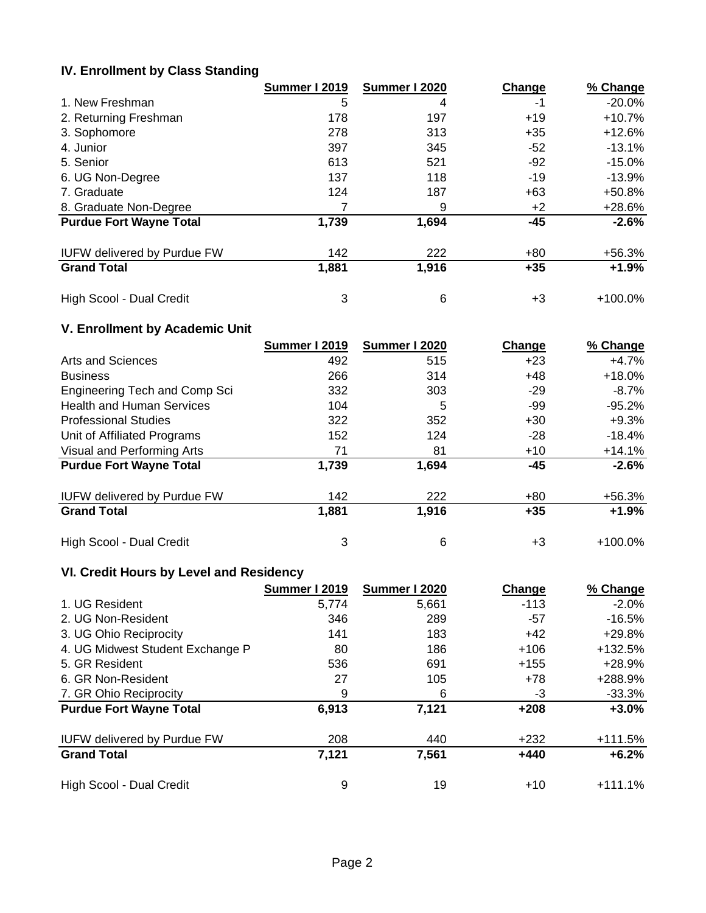## **IV. Enrollment by Class Standing**

|                                    | Summer I 2019 | Summer I 2020 | Change | % Change   |
|------------------------------------|---------------|---------------|--------|------------|
| 1. New Freshman                    | 5             | 4             | -1     | $-20.0%$   |
| 2. Returning Freshman              | 178           | 197           | $+19$  | $+10.7%$   |
| 3. Sophomore                       | 278           | 313           | $+35$  | $+12.6%$   |
| 4. Junior                          | 397           | 345           | $-52$  | $-13.1%$   |
| 5. Senior                          | 613           | 521           | -92    | $-15.0\%$  |
| 6. UG Non-Degree                   | 137           | 118           | $-19$  | $-13.9%$   |
| 7. Graduate                        | 124           | 187           | $+63$  | $+50.8%$   |
| 8. Graduate Non-Degree             |               | 9             | $+2$   | +28.6%     |
| <b>Purdue Fort Wayne Total</b>     | 1,739         | 1,694         | $-45$  | $-2.6%$    |
| <b>IUFW delivered by Purdue FW</b> | 142           | 222           | $+80$  | $+56.3%$   |
| <b>Grand Total</b>                 | 1,881         | 1,916         | $+35$  | $+1.9%$    |
| High Scool - Dual Credit           | 3             | 6             | +3     | $+100.0\%$ |

# **V. Enrollment by Academic Unit**

|                                    | <b>Summer I 2019</b> | Summer I 2020 | Change    | % Change   |
|------------------------------------|----------------------|---------------|-----------|------------|
| Arts and Sciences                  | 492                  | 515           | $+23$     | $+4.7%$    |
| <b>Business</b>                    | 266                  | 314           | $+48$     | $+18.0%$   |
| Engineering Tech and Comp Sci      | 332                  | 303           | $-29$     | $-8.7\%$   |
| <b>Health and Human Services</b>   | 104                  | 5             | -99       | $-95.2%$   |
| <b>Professional Studies</b>        | 322                  | 352           | $+30$     | $+9.3%$    |
| Unit of Affiliated Programs        | 152                  | 124           | -28       | $-18.4%$   |
| Visual and Performing Arts         | 71                   | 81            | $+10^{-}$ | $+14.1%$   |
| <b>Purdue Fort Wayne Total</b>     | 1,739                | 1,694         | -45       | $-2.6%$    |
| <b>IUFW delivered by Purdue FW</b> | 142                  | 222           | +80       | $+56.3%$   |
| <b>Grand Total</b>                 | 1,881                | 1,916         | $+35$     | $+1.9%$    |
| High Scool - Dual Credit           | 3                    | 6             | +3        | $+100.0\%$ |

### **VI. Credit Hours by Level and Residency**

|                                    | <b>Summer I 2019</b> | Summer I 2020 | Change | % Change  |
|------------------------------------|----------------------|---------------|--------|-----------|
| 1. UG Resident                     | 5,774                | 5,661         | $-113$ | $-2.0\%$  |
| 2. UG Non-Resident                 | 346                  | 289           | -57    | $-16.5%$  |
| 3. UG Ohio Reciprocity             | 141                  | 183           | $+42$  | +29.8%    |
| 4. UG Midwest Student Exchange P   | 80                   | 186           | $+106$ | +132.5%   |
| 5. GR Resident                     | 536                  | 691           | $+155$ | +28.9%    |
| 6. GR Non-Resident                 | 27                   | 105           | +78    | +288.9%   |
| 7. GR Ohio Reciprocity             | 9                    | 6             | -3     | $-33.3%$  |
| <b>Purdue Fort Wayne Total</b>     | 6,913                | 7,121         | $+208$ | $+3.0%$   |
| <b>IUFW delivered by Purdue FW</b> | 208                  | 440           | $+232$ | $+111.5%$ |
| <b>Grand Total</b>                 | 7,121                | 7,561         | $+440$ | $+6.2%$   |
| High Scool - Dual Credit           | 9                    | 19            | $+10$  | $+111.1%$ |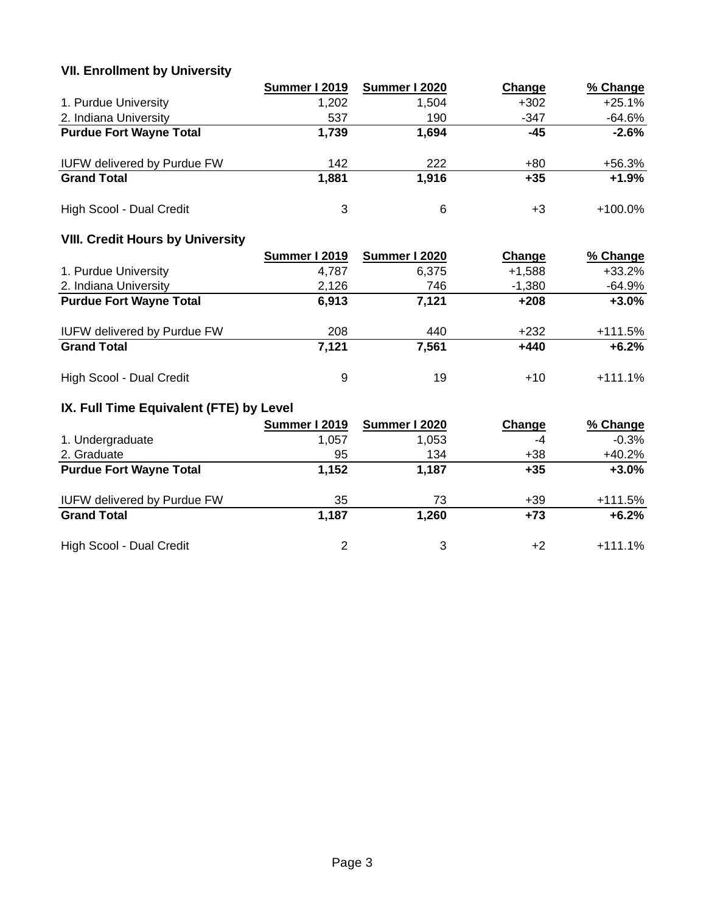### **VII. Enrollment by University**

|                                    | Summer I 2019 | Summer I 2020 | Change | % Change   |
|------------------------------------|---------------|---------------|--------|------------|
| 1. Purdue University               | 1,202         | 1.504         | $+302$ | $+25.1%$   |
| 2. Indiana University              | 537           | 190           | $-347$ | $-64.6%$   |
| <b>Purdue Fort Wayne Total</b>     | 1,739         | 1,694         | -45    | $-2.6%$    |
| <b>IUFW delivered by Purdue FW</b> | 142           | 222           | +80    | +56.3%     |
| <b>Grand Total</b>                 | 1,881         | 1,916         | $+35$  | $+1.9%$    |
| High Scool - Dual Credit           | 3             | 6             | +3     | $+100.0\%$ |

### **VIII. Credit Hours by University**

|                                    | Summer I 2019 | Summer I 2020 | Change   | % Change  |
|------------------------------------|---------------|---------------|----------|-----------|
| 1. Purdue University               | 4,787         | 6.375         | $+1,588$ | $+33.2%$  |
| 2. Indiana University              | 2,126         | 746           | $-1,380$ | -64.9%    |
| <b>Purdue Fort Wayne Total</b>     | 6,913         | 7,121         | $+208$   | $+3.0\%$  |
| <b>IUFW delivered by Purdue FW</b> | 208           | 440           | $+232$   | $+111.5%$ |
| <b>Grand Total</b>                 | 7,121         | 7,561         | $+440$   | $+6.2%$   |
| High Scool - Dual Credit           | 9             | 19            | $+10$    | $+111.1%$ |

# **IX. Full Time Equivalent (FTE) by Level**

|                                    | Summer I 2019 | Summer I 2020 | Change | % Change  |
|------------------------------------|---------------|---------------|--------|-----------|
| 1. Undergraduate                   | 1,057         | 1.053         | -4     | $-0.3%$   |
| 2. Graduate                        | 95            | 134           | +38    | $+40.2%$  |
| <b>Purdue Fort Wayne Total</b>     | 1,152         | 1,187         | $+35$  | $+3.0%$   |
| <b>IUFW delivered by Purdue FW</b> | 35            | 73            | +39    | $+111.5%$ |
| <b>Grand Total</b>                 | 1,187         | 1,260         | $+73$  | $+6.2%$   |
| High Scool - Dual Credit           | 2             | 3             | +2     | $+111.1%$ |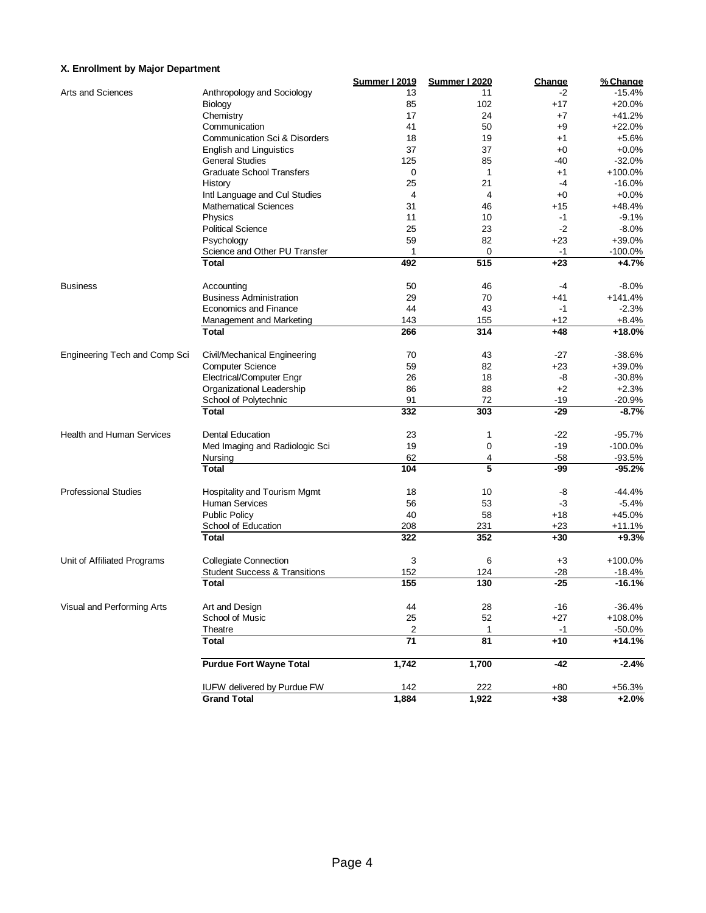#### **X. Enrollment by Major Department**

|                                  |                                          | <b>Summer I 2019</b> | <b>Summer I 2020</b> | Change | % Change               |
|----------------------------------|------------------------------------------|----------------------|----------------------|--------|------------------------|
| Arts and Sciences                | Anthropology and Sociology               | 13                   | 11                   | -2     | $-15.4%$               |
|                                  | Biology                                  | 85                   | 102                  | $+17$  | $+20.0%$               |
|                                  | Chemistry                                | 17                   | 24                   | $+7$   | $+41.2%$               |
|                                  | Communication                            | 41                   | 50                   | $+9$   | $+22.0%$               |
|                                  | Communication Sci & Disorders            | 18                   | 19                   | $+1$   | $+5.6%$                |
|                                  | <b>English and Linguistics</b>           | 37                   | 37                   | $+0$   | $+0.0%$                |
|                                  | <b>General Studies</b>                   | 125                  | 85                   | -40    | $-32.0%$               |
|                                  | <b>Graduate School Transfers</b>         | 0                    | $\mathbf{1}$         | $+1$   | +100.0%                |
|                                  | History                                  | 25                   | 21                   | $-4$   | $-16.0%$               |
|                                  | Intl Language and Cul Studies            | $\overline{4}$       | 4                    | $+0$   | $+0.0%$                |
|                                  | <b>Mathematical Sciences</b>             | 31                   | 46                   | $+15$  | $+48.4%$               |
|                                  | Physics                                  | 11                   | 10                   | -1     | $-9.1%$                |
|                                  | <b>Political Science</b>                 | 25                   | 23                   | $-2$   | $-8.0%$                |
|                                  | Psychology                               | 59                   | 82                   | $+23$  | +39.0%                 |
|                                  |                                          |                      |                      |        |                        |
|                                  | Science and Other PU Transfer            | 1                    | 0                    | -1     | $-100.0%$              |
|                                  | <b>Total</b>                             | 492                  | $\overline{515}$     | $+23$  | +4.7%                  |
| <b>Business</b>                  | Accounting                               | 50                   | 46                   | -4     | $-8.0%$                |
|                                  | <b>Business Administration</b>           | 29                   | 70                   | $+41$  | $+141.4%$              |
|                                  | Economics and Finance                    | 44                   | 43                   | -1     | $-2.3%$                |
|                                  | Management and Marketing                 | 143                  | 155                  | $+12$  | $+8.4%$                |
|                                  | <b>Total</b>                             | 266                  | 314                  | $+48$  | $+18.0%$               |
| Engineering Tech and Comp Sci    | Civil/Mechanical Engineering             | 70                   | 43                   | $-27$  | $-38.6%$               |
|                                  | <b>Computer Science</b>                  | 59                   | 82                   | $+23$  | +39.0%                 |
|                                  | Electrical/Computer Engr                 | 26                   | 18                   | -8     | $-30.8%$               |
|                                  | Organizational Leadership                | 86                   | 88                   | $+2$   | $+2.3%$                |
|                                  | School of Polytechnic                    | 91                   | 72                   | $-19$  | $-20.9%$               |
|                                  | <b>Total</b>                             | 332                  | 303                  | $-29$  | $-8.7%$                |
|                                  |                                          |                      |                      |        |                        |
| <b>Health and Human Services</b> | Dental Education                         | 23                   | 1                    | $-22$  | $-95.7%$               |
|                                  | Med Imaging and Radiologic Sci           | 19                   | 0                    | $-19$  | $-100.0%$              |
|                                  | Nursing                                  | 62                   | 4                    | $-58$  | $-93.5%$               |
|                                  | <b>Total</b>                             | 104                  | 5                    | -99    | $-95.2%$               |
| <b>Professional Studies</b>      | Hospitality and Tourism Mgmt             | 18                   | 10                   | -8     | $-44.4%$               |
|                                  | <b>Human Services</b>                    | 56                   | 53                   | $-3$   | $-5.4%$                |
|                                  | <b>Public Policy</b>                     | 40                   | 58                   | $+18$  | +45.0%                 |
|                                  | School of Education                      | 208                  | 231                  | $+23$  | $+11.1%$               |
|                                  | Total                                    | 322                  | 352                  | $+30$  | $+9.3%$                |
| Unit of Affiliated Programs      | <b>Collegiate Connection</b>             | 3                    | 6                    | $+3$   | +100.0%                |
|                                  | <b>Student Success &amp; Transitions</b> | 152                  | 124                  | $-28$  |                        |
|                                  | <b>Total</b>                             | 155                  | 130                  | $-25$  | $-18.4\%$<br>$-16.1\%$ |
|                                  |                                          |                      |                      |        |                        |
| Visual and Performing Arts       | Art and Design                           | 44                   | 28                   | $-16$  | $-36.4%$               |
|                                  | School of Music                          | 25                   | 52                   | $+27$  | +108.0%                |
|                                  | Theatre                                  | 2                    | $\mathbf{1}$         | $-1$   | $-50.0%$               |
|                                  | <b>Total</b>                             | 71                   | 81                   | $+10$  | $+14.1%$               |
|                                  | <b>Purdue Fort Wayne Total</b>           | 1,742                | 1,700                | $-42$  | $-2.4%$                |
|                                  | <b>IUFW delivered by Purdue FW</b>       | 142                  | 222                  | $+80$  | $+56.3%$               |
|                                  | <b>Grand Total</b>                       | 1,884                | 1,922                | $+38$  | $+2.0%$                |
|                                  |                                          |                      |                      |        |                        |